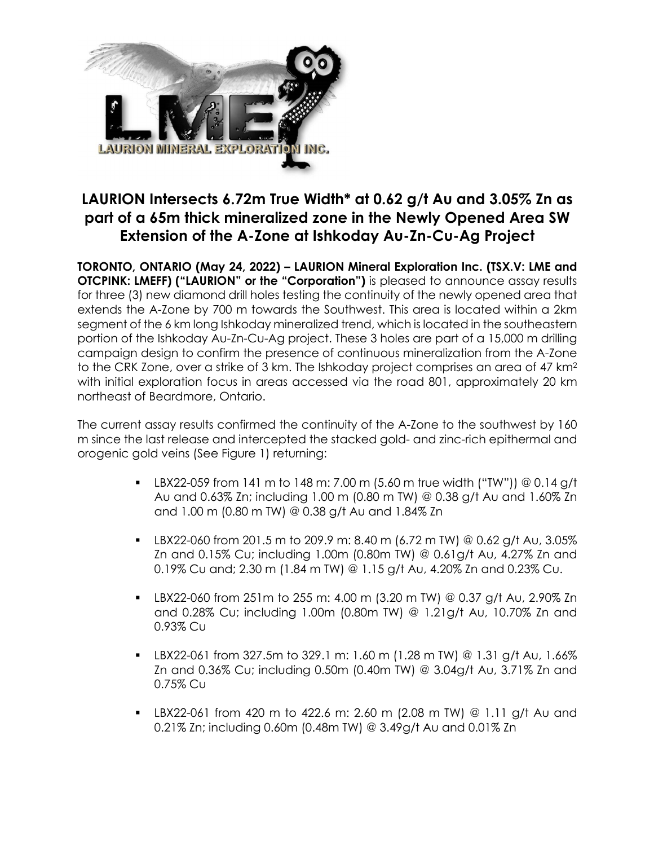

# **LAURION Intersects 6.72m True Width\* at 0.62 g/t Au and 3.05% Zn as part of a 65m thick mineralized zone in the Newly Opened Area SW Extension of the A-Zone at Ishkoday Au-Zn-Cu-Ag Project**

**TORONTO, ONTARIO (May 24, 2022) – LAURION Mineral Exploration Inc. (TSX.V: LME and OTCPINK: LMEFF) ("LAURION" or the "Corporation")** is pleased to announce assay results for three (3) new diamond drill holes testing the continuity of the newly opened area that extends the A-Zone by 700 m towards the Southwest. This area is located within a 2km segment of the 6 km long Ishkoday mineralized trend, which is located in the southeastern portion of the Ishkoday Au-Zn-Cu-Ag project. These 3 holes are part of a 15,000 m drilling campaign design to confirm the presence of continuous mineralization from the A-Zone to the CRK Zone, over a strike of 3 km. The Ishkoday project comprises an area of 47 km2 with initial exploration focus in areas accessed via the road 801, approximately 20 km northeast of Beardmore, Ontario.

The current assay results confirmed the continuity of the A-Zone to the southwest by 160 m since the last release and intercepted the stacked gold- and zinc-rich epithermal and orogenic gold veins (See Figure 1) returning:

- **•** LBX22-059 from 141 m to 148 m: 7.00 m (5.60 m true width ("TW")) @ 0.14 g/t Au and 0.63% Zn; including 1.00 m (0.80 m TW) @ 0.38 g/t Au and 1.60% Zn and 1.00 m (0.80 m TW) @ 0.38 g/t Au and 1.84% Zn
- **•** LBX22-060 from 201.5 m to 209.9 m: 8.40 m (6.72 m TW) @ 0.62 g/t Au, 3.05% Zn and 0.15% Cu; including 1.00m (0.80m TW) @ 0.61g/t Au, 4.27% Zn and 0.19% Cu and; 2.30 m (1.84 m TW) @ 1.15 g/t Au, 4.20% Zn and 0.23% Cu.
- § LBX22-060 from 251m to 255 m: 4.00 m (3.20 m TW) @ 0.37 g/t Au, 2.90% Zn and 0.28% Cu; including 1.00m (0.80m TW) @ 1.21g/t Au, 10.70% Zn and 0.93% Cu
- $\blacksquare$  LBX22-061 from 327.5m to 329.1 m: 1.60 m (1.28 m TW) @ 1.31 g/t Au, 1.66% Zn and 0.36% Cu; including 0.50m (0.40m TW) @ 3.04g/t Au, 3.71% Zn and 0.75% Cu
- § LBX22-061 from 420 m to 422.6 m: 2.60 m (2.08 m TW) @ 1.11 g/t Au and 0.21% Zn; including 0.60m (0.48m TW) @ 3.49g/t Au and 0.01% Zn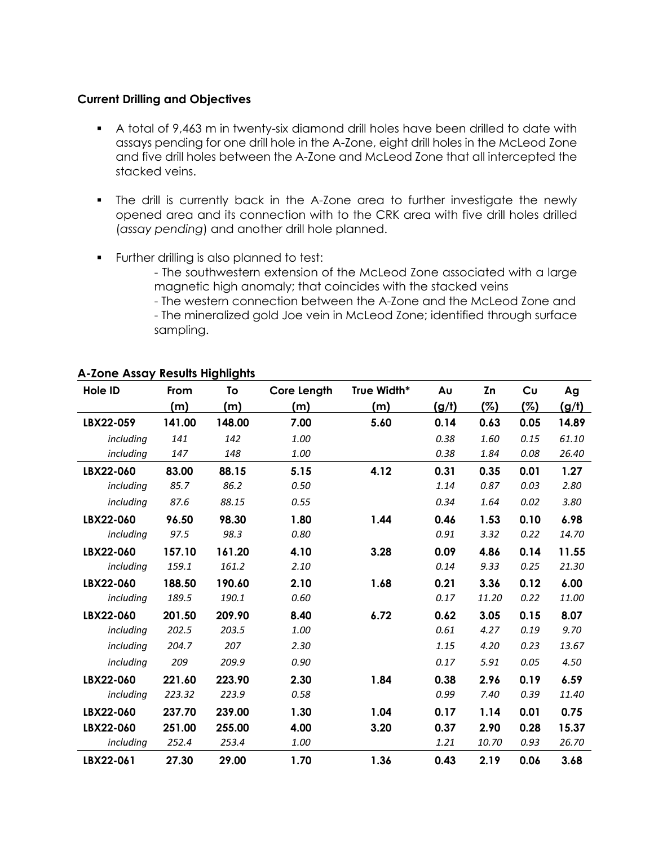#### **Current Drilling and Objectives**

- § A total of 9,463 m in twenty-six diamond drill holes have been drilled to date with assays pending for one drill hole in the A-Zone, eight drill holes in the McLeod Zone and five drill holes between the A-Zone and McLeod Zone that all intercepted the stacked veins.
- The drill is currently back in the A-Zone area to further investigate the newly opened area and its connection with to the CRK area with five drill holes drilled (*assay pending*) and another drill hole planned.
- § Further drilling is also planned to test:
	- The southwestern extension of the McLeod Zone associated with a large magnetic high anomaly; that coincides with the stacked veins
	- The western connection between the A-Zone and the McLeod Zone and - The mineralized gold Joe vein in McLeod Zone; identified through surface
	- sampling.

| Hole ID   | From   | To     | <b>Core Length</b> | True Width* | Aυ    | Zn    | Cυ   | Ag    |
|-----------|--------|--------|--------------------|-------------|-------|-------|------|-------|
|           | (m)    | (m)    | (m)                | (m)         | (g/t) | (%)   | (%)  | (g/t) |
| LBX22-059 | 141.00 | 148.00 | 7.00               | 5.60        | 0.14  | 0.63  | 0.05 | 14.89 |
| including | 141    | 142    | 1.00               |             | 0.38  | 1.60  | 0.15 | 61.10 |
| including | 147    | 148    | 1.00               |             | 0.38  | 1.84  | 0.08 | 26.40 |
| LBX22-060 | 83.00  | 88.15  | 5.15               | 4.12        | 0.31  | 0.35  | 0.01 | 1.27  |
| including | 85.7   | 86.2   | 0.50               |             | 1.14  | 0.87  | 0.03 | 2.80  |
| including | 87.6   | 88.15  | 0.55               |             | 0.34  | 1.64  | 0.02 | 3.80  |
| LBX22-060 | 96.50  | 98.30  | 1.80               | 1.44        | 0.46  | 1.53  | 0.10 | 6.98  |
| including | 97.5   | 98.3   | 0.80               |             | 0.91  | 3.32  | 0.22 | 14.70 |
| LBX22-060 | 157.10 | 161.20 | 4.10               | 3.28        | 0.09  | 4.86  | 0.14 | 11.55 |
| including | 159.1  | 161.2  | 2.10               |             | 0.14  | 9.33  | 0.25 | 21.30 |
| LBX22-060 | 188.50 | 190.60 | 2.10               | 1.68        | 0.21  | 3.36  | 0.12 | 6.00  |
| including | 189.5  | 190.1  | 0.60               |             | 0.17  | 11.20 | 0.22 | 11.00 |
| LBX22-060 | 201.50 | 209.90 | 8.40               | 6.72        | 0.62  | 3.05  | 0.15 | 8.07  |
| including | 202.5  | 203.5  | 1.00               |             | 0.61  | 4.27  | 0.19 | 9.70  |
| including | 204.7  | 207    | 2.30               |             | 1.15  | 4.20  | 0.23 | 13.67 |
| including | 209    | 209.9  | 0.90               |             | 0.17  | 5.91  | 0.05 | 4.50  |
| LBX22-060 | 221.60 | 223.90 | 2.30               | 1.84        | 0.38  | 2.96  | 0.19 | 6.59  |
| including | 223.32 | 223.9  | 0.58               |             | 0.99  | 7.40  | 0.39 | 11.40 |
| LBX22-060 | 237.70 | 239.00 | 1.30               | 1.04        | 0.17  | 1.14  | 0.01 | 0.75  |
| LBX22-060 | 251.00 | 255.00 | 4.00               | 3.20        | 0.37  | 2.90  | 0.28 | 15.37 |
| including | 252.4  | 253.4  | 1.00               |             | 1.21  | 10.70 | 0.93 | 26.70 |
| LBX22-061 | 27.30  | 29.00  | 1.70               | 1.36        | 0.43  | 2.19  | 0.06 | 3.68  |

# **A-Zone Assay Results Highlights**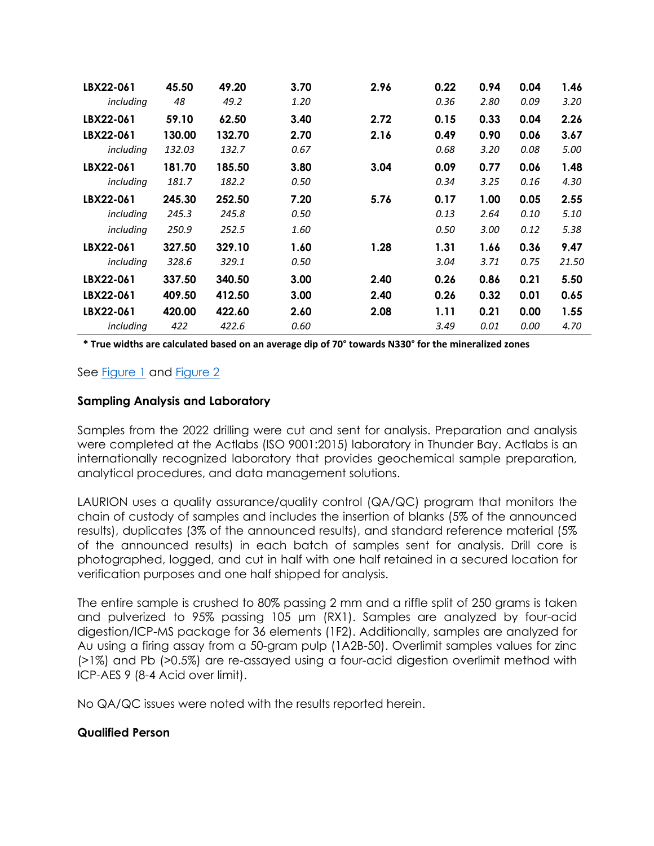| LBX22-061 | 45.50  | 49.20  | 3.70 | 2.96 | 0.22 | 0.94 | 0.04 | 1.46  |
|-----------|--------|--------|------|------|------|------|------|-------|
| including | 48     | 49.2   | 1.20 |      | 0.36 | 2.80 | 0.09 | 3.20  |
| LBX22-061 | 59.10  | 62.50  | 3.40 | 2.72 | 0.15 | 0.33 | 0.04 | 2.26  |
| LBX22-061 | 130.00 | 132.70 | 2.70 | 2.16 | 0.49 | 0.90 | 0.06 | 3.67  |
| including | 132.03 | 132.7  | 0.67 |      | 0.68 | 3.20 | 0.08 | 5.00  |
| LBX22-061 | 181.70 | 185.50 | 3.80 | 3.04 | 0.09 | 0.77 | 0.06 | 1.48  |
| including | 181.7  | 182.2  | 0.50 |      | 0.34 | 3.25 | 0.16 | 4.30  |
| LBX22-061 | 245.30 | 252.50 | 7.20 | 5.76 | 0.17 | 1.00 | 0.05 | 2.55  |
| including | 245.3  | 245.8  | 0.50 |      | 0.13 | 2.64 | 0.10 | 5.10  |
| including | 250.9  | 252.5  | 1.60 |      | 0.50 | 3.00 | 0.12 | 5.38  |
| LBX22-061 | 327.50 | 329.10 | 1.60 | 1.28 | 1.31 | 1.66 | 0.36 | 9.47  |
| including | 328.6  | 329.1  | 0.50 |      | 3.04 | 3.71 | 0.75 | 21.50 |
| LBX22-061 | 337.50 | 340.50 | 3.00 | 2.40 | 0.26 | 0.86 | 0.21 | 5.50  |
| LBX22-061 | 409.50 | 412.50 | 3.00 | 2.40 | 0.26 | 0.32 | 0.01 | 0.65  |
| LBX22-061 | 420.00 | 422.60 | 2.60 | 2.08 | 1.11 | 0.21 | 0.00 | 1.55  |
| including | 422    | 422.6  | 0.60 |      | 3.49 | 0.01 | 0.00 | 4.70  |

**\* True widths are calculated based on an average dip of 70° towards N330° for the mineralized zones**

# See Figure 1 and Figure 2

## **Sampling Analysis and Laboratory**

Samples from the 2022 drilling were cut and sent for analysis. Preparation and analysis were completed at the Actlabs (ISO 9001:2015) laboratory in Thunder Bay. Actlabs is an internationally recognized laboratory that provides geochemical sample preparation, analytical procedures, and data management solutions.

LAURION uses a quality assurance/quality control (QA/QC) program that monitors the chain of custody of samples and includes the insertion of blanks (5% of the announced results), duplicates (3% of the announced results), and standard reference material (5% of the announced results) in each batch of samples sent for analysis. Drill core is photographed, logged, and cut in half with one half retained in a secured location for verification purposes and one half shipped for analysis.

The entire sample is crushed to 80% passing 2 mm and a riffle split of 250 grams is taken and pulverized to 95% passing 105 µm (RX1). Samples are analyzed by four-acid digestion/ICP-MS package for 36 elements (1F2). Additionally, samples are analyzed for Au using a firing assay from a 50-gram pulp (1A2B-50). Overlimit samples values for zinc (>1%) and Pb (>0.5%) are re-assayed using a four-acid digestion overlimit method with ICP-AES 9 (8-4 Acid over limit).

No QA/QC issues were noted with the results reported herein.

#### **Qualified Person**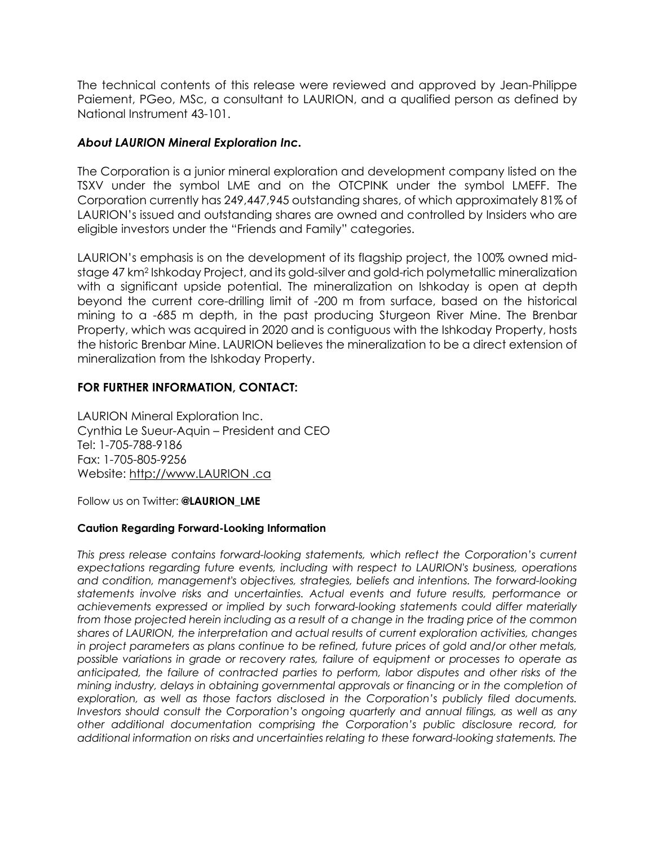The technical contents of this release were reviewed and approved by Jean-Philippe Paiement, PGeo, MSc, a consultant to LAURION, and a qualified person as defined by National Instrument 43-101.

## *About LAURION Mineral Exploration Inc.*

The Corporation is a junior mineral exploration and development company listed on the TSXV under the symbol LME and on the OTCPINK under the symbol LMEFF. The Corporation currently has 249,447,945 outstanding shares, of which approximately 81% of LAURION's issued and outstanding shares are owned and controlled by Insiders who are eligible investors under the "Friends and Family" categories.

LAURION's emphasis is on the development of its flagship project, the 100% owned midstage 47 km2 Ishkoday Project, and its gold-silver and gold-rich polymetallic mineralization with a significant upside potential. The mineralization on Ishkoday is open at depth beyond the current core-drilling limit of -200 m from surface, based on the historical mining to a -685 m depth, in the past producing Sturgeon River Mine. The Brenbar Property, which was acquired in 2020 and is contiguous with the Ishkoday Property, hosts the historic Brenbar Mine. LAURION believes the mineralization to be a direct extension of mineralization from the Ishkoday Property.

## **FOR FURTHER INFORMATION, CONTACT:**

LAURION Mineral Exploration Inc. Cynthia Le Sueur-Aquin – President and CEO Tel: 1-705-788-9186 Fax: 1-705-805-9256 Website: http://www.LAURION .ca

Follow us on Twitter: **@LAURION\_LME**

#### **Caution Regarding Forward-Looking Information**

*This press release contains forward-looking statements, which reflect the Corporation's current expectations regarding future events, including with respect to LAURION's business, operations and condition, management's objectives, strategies, beliefs and intentions. The forward-looking statements involve risks and uncertainties. Actual events and future results, performance or achievements expressed or implied by such forward-looking statements could differ materially from those projected herein including as a result of a change in the trading price of the common shares of LAURION, the interpretation and actual results of current exploration activities, changes in project parameters as plans continue to be refined, future prices of gold and/or other metals, possible variations in grade or recovery rates, failure of equipment or processes to operate as anticipated, the failure of contracted parties to perform, labor disputes and other risks of the mining industry, delays in obtaining governmental approvals or financing or in the completion of exploration, as well as those factors disclosed in the Corporation's publicly filed documents. Investors should consult the Corporation's ongoing quarterly and annual filings, as well as any other additional documentation comprising the Corporation's public disclosure record, for additional information on risks and uncertainties relating to these forward-looking statements. The*